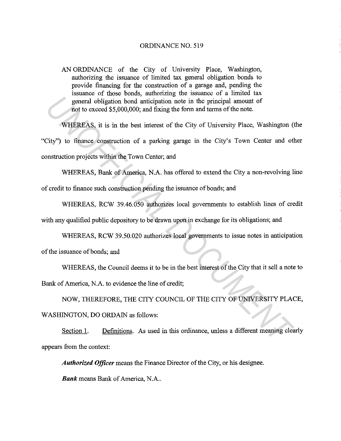## ORDINANCE NO. 519

AN ORDINANCE of the City of University Place, Washington, authorizing the issuance of limited tax general obligation bonds to provide financing for the construction of a garage and, pending the issuance of those bonds, authorizing the issuance of a limited tax general obligation bond anticipation note in the principal amount of not to exceed \$5,000,000; and fixing the form and terms of the note.

WHEREAS, it is in the best interest of the City of University Place, Washington (the "City") to finance construction of a parking garage in the City's Town Center and other construction projects within the Town Center; and general obligation bond anticipation note in the principal smount of<br>
root to exceed \$5,000,000; and fixing the form and terms of the note.<br> **WHEREAS**, it is in the best interest of the City of University Place, Washington

WHEREAS, Bank of America, N.A. has offered to extend the City a non-revolving line of credit to finance such construction pending the issuance of bonds; and

WHEREAS, RCW 39.46.050 authorizes local governments to establish lines of credit with any qualified public depository to be drawn upon in exchange for its obligations; and

WHEREAS, RCW 39.50.020 authorizes local governments to issue notes in anticipation

of the issuance of bonds; and

WHEREAS, the Council deems it to be in the best interest of the City that it sell a note to

Bank of America, N.A. to evidence the line of credit;

NOW, THEREFORE, THE CITY COUNCIL OF THE CITY OF UNNERSITY PLACE, WASHINGTON, DO ORDAIN as follows:

Section 1. Definitions. As used in this ordinance, unless a different meaning clearly appears from the context:

*Authorized Officer* means the Finance Director of the City, or his designee.

*Bank* means Bank of America, N.A..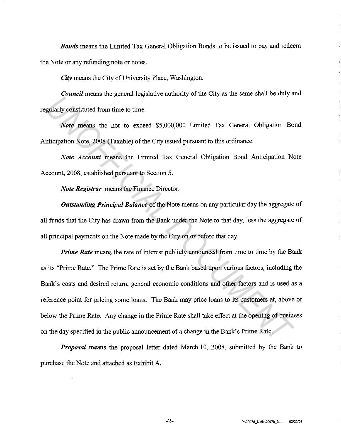*Bonds* means the Limited Tax General Obligation Bonds to be issued to pay and redeem the Note or any refunding note or notes.

*City* means the City of University Place, Washington.

*Council* means the general legislative authority of the City as the same shall be duly and regularly constituted from time to time.

*Note* means the not to exceed \$5,000,000 Limited Tax General Obligation Bond Anticipation Note, 2008 (Taxable) of the City issued pursuant to this ordinance.

*Note Account* means the Limited Tax General Obligation Bond Anticipation Note Account, 2008, established pursuant to Section 5.

*Note Registrar* means the Finance Director.

*Outstanding Principal Balance* of the Note means on any particular day the aggregate of all funds that the City has drawn from the Bank under the Note to that day, less the aggregate of all principal payments on the Note made by the City on or before that day.

*Prime Rate* means the rate of interest publicly announced from time to time by the Bank as its "Prime Rate." The Prime Rate is set by the Bank based upon various factors, including the Bank's costs and desired return, general economic conditions and other factors and is used as a reference point for pricing some loans. The Bank may price loans to its customers at, above or below the Prime Rate. Any change in the Prime Rate shall take effect at the opening of business on the day specified in the public announcement of a change in the Bank's Prime Rate. *Under* the state of the content and solven the state of the case of the case of the content and the state of the means the not to exceed \$5,000,000 Limited Tax General Obligation Bondicipation Note, 2008 (Taxable) of the

*Proposal* means the proposal letter dated March 10, 2008, submitted by the Bank to purchase the Note and attached as Exhibit A.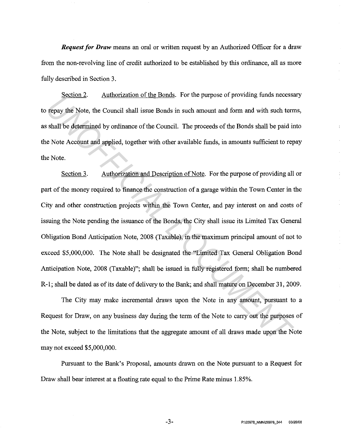*Request for Draw* means an oral or written request by an Authorized Officer for a draw from the non-revolving line of credit authorized to be established by this ordinance, all as more fully described in Section 3.

Section 2. Authorization of the Bonds. For the purpose of providing funds necessary to repay the Note, the Council shall issue Bonds in such amount and form and with such terms, as shall be determined by ordinance of the Council. The proceeds of the Bonds shall be paid into the Note Account and applied, together with other available funds, in amounts sufficient to repay the Note.

Section 3. Authorization and Description of Note. For the purpose of providing all or part of the money required to finance the construction of a garage within the Town Center in the City and other construction projects within the Town Center, and pay interest on and costs of issuing the Note pending the issuance of the Bonds, the City shall issue its Limited Tax General Obligation Bond Anticipation Note, 2008 (Taxable), in the maximum principal amount of not to exceed \$5,000,000. The Note shall be designated the "Limited Tax General Obligation Bond Anticipation Note, 2008 (Taxable)"; shall be issued in fully registered form; shall be numbered R-1; shall be dated as of its date of delivery to the Bank; and shall mature on December 31, 2009. **Example 2.** *Unitarization of the Bonds***</u>** For the puppes of providing thins lecess<br>
tepay the Note, the Council shall issue Bonds in such amount and form and with such terri<br>
shall be determined by ordinance of the Coun

The City may make incremental draws upon the Note in any amount, pursuant to a Request for Draw, on any business day during the term of the Note to carry out the purposes of the Note, subject to the limitations that the aggregate amount of all draws made upon the Note may not exceed \$5,000,000.

Pursuant to the Bank's Proposal, amounts drawn on the Note pursuant to a Request for Draw shall bear interest at a floating rate equal to the Prime Rate minus 1.85%.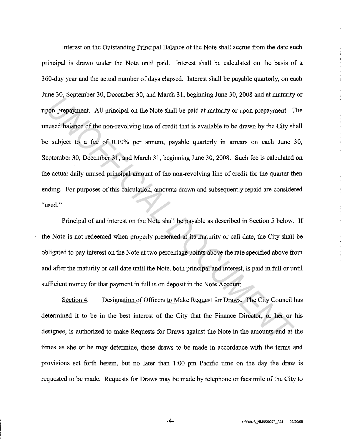Interest on the Outstanding Principal Balance of the Note shall accrue from the date such principal is drawn under the Note until paid. Interest shall be calculated on the basis of a 360-day year and the actual number of days elapsed. Interest shall be payable quarterly, on each June 30, September 30, December 30, and March 31, beginning June 30, 2008 and at maturity or upon prepayment. All principal on the Note shall be paid at maturity or upon prepayment. The unused balance of the non-revolving line of credit that is available to be drawn by the City shall be subject to a fee of 0.10% per annum, payable quarterly in arrears on each June 30, September 30, December 31, and March 31, beginning June 30, 2008. Such fee is calculated on the actual daily unused principal amount of the non-revolving line of credit for the quarter then ending. For purposes of this calculation, amounts drawn and subsequently repaid are considered "used." *UNDERTATE THAT DESCREMENT OF A CONDITERT AND DESCREMENT OF A DESCREMENT OF A DESCREMENT OF A DESCREMENT OF A DESCREMENT OF A DESCREMENT OF A DESCREMENT OF A DESCREMENT OF A DESCREMENTAT OF A DESCREMENTA OF A DESCREMENTA O* 

Principal of and interest on the Note shall be payable as described in Section 5 below. If the Note is not redeemed when properly presented at its maturity or call date, the City shall be obligated to pay interest on the Note at two percentage points above the rate specified above from and after the maturity or call date until the Note, both principal and interest, is paid in full or until sufficient money for that payment in full is on deposit in the Note Account.

Section 4. Designation of Officers to Make Request for Draws. The City Council has determined it to be in the best interest of the City that the Finance Director, or her or his designee, is authorized to make Requests for Draws against the Note in the amounts and at the times as she or he may determine, those draws to be made in accordance with the terms and provisions set forth herein, but no later than 1 :00 pm Pacific time on the day the draw is requested to be made. Requests for Draws may be made by telephone or facsimile of the City to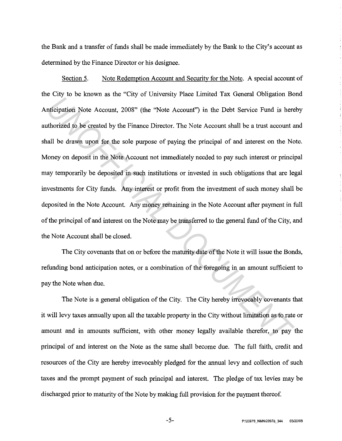the Bank and a transfer of funds shall be made immediately by the Bank to the City's account as determined by the Finance Director or his designee.

Section 5. Note Redemption Account and Security for the Note. A special account of the City to be known as the "City of University Place Limited Tax General Obligation Bond Anticipation Note Account, 2008" (the "Note Account") in the Debt Service Fund is hereby authorized to be created by the Finance Director. The Note Account shall be a trust account and shall be drawn upon for the sole purpose of paying the principal of and interest on the Note. Money on deposit in the Note Account not immediately needed to pay such interest or principal may temporarily be deposited in such institutions or invested in such obligations that are legal investments for City funds. Any interest or profit from the investment of such money shall be deposited in the Note Account. Any money remaining in the Note Account after payment in full of the principal of and interest on the Note maybe transferred to the general fund of the City, and the Note Account shall be closed. *Union Inc.* The Data Controllary Constrainty Calculation Note Account, 2008" (the "Note Account") in the Debt Service Fund is beneficiation Note Account, 2008" (the "Note Account") in the Debt Service Fund is beneficiatio

The City covenants that on or before the maturity date of the Note it will issue the Bonds, refunding bond anticipation notes, or a combination of the foregoing in an amount sufficient to pay the Note when due.

The Note is a general obligation of the City. The City hereby irrevocably covenants that it will levy taxes annually upon all the taxable property in the City without limitation as to rate or amount and in amounts sufficient, with other money legally available therefor, to pay the principal of and interest on the Note as the same shall become due. The full faith, credit and resources of the City are hereby irrevocably pledged for the annual levy and collection of such taxes and the prompt payment of such principal and interest. The pledge of tax levies may be discharged prior to maturity of the Note by making full provision for the payment thereof.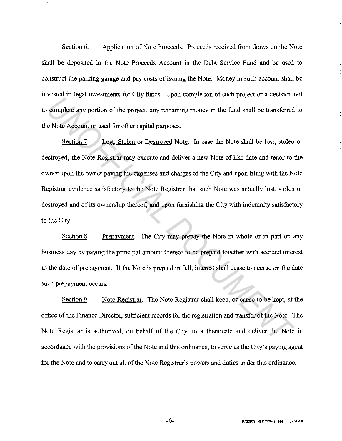Section 6. Application of Note Proceeds. Proceeds received from draws on the Note shall be deposited in the Note Proceeds Account in the Debt Service Fund and be used to construct the parking garage and pay costs of issuing the Note. Money in such account shall be invested in legal investments for City funds. Upon completion of such project or a decision not to complete any portion of the project, any remaining money in the fund shall be transferred to the Note Account or used for other capital purposes.

Section 7. Lost, Stolen or Destroyed Note. In case the Note shall be lost, stolen or destroyed, the Note Registrar may execute and deliver a new Note of like date and tenor to the owner upon the owner paying the expenses and charges of the City and upon filing with the Note Registrar evidence satisfactory to the Note Registrar that such Note was actually lost, stolen or destroyed and of its ownership thereof, and upon furnishing the City with indemnity satisfactory to the City. From a regard in vocalisms for every tames. Cpan complement of state projects of a constant in complete any portion of the project, any remaining money in the find shall be transferred exertived, the Note Registrar may exe

Section 8. Prepayment. The City may prepay the Note in whole or in part on any business day by paying the principal amount thereof to be prepaid together with accrued interest to the date of prepayment. If the Note is prepaid in full, interest shall cease to accrue on the date such prepayment occurs.

Section 9. Note Registrar. The Note Registrar shall keep, or cause to be kept, at the office of the Finance Director, sufficient records for the registration and transfer of the Note. The Note Registrar is authorized, on behalf of the City, to authenticate and deliver the Note in accordance with the provisions of the Note and this ordinance, to serve as the City's paying agent for the Note and to carry out all of the Note Registrar's powers and duties under this ordinance.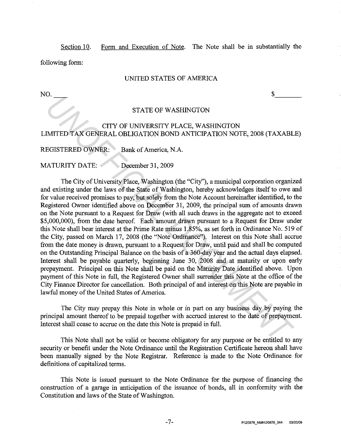Section 10. Form and Execution of Note. The Note shall be in substantially the following form:

## UNITED STATES OF AMERICA

 $N$ O.  $\frac{1}{s}$ 

## STATE OF WASHINGTON

# CITY OF UNNERSITY PLACE, WASHINGTON LIMITED TAX GENERAL OBLIGATION BOND ANTICIPATION NOTE, 2008 (TAXABLE)

REGISTERED OWNER: Bank of America, N.A.

MATURITY DATE: December 31, 2009

The City of University Place, Washington (the "City''), a municipal corporation organized and existing under the laws of the State of Washington, hereby acknowledges itself to owe and for value received promises to pay, but solely from the Note Account hereinafter identified, to the Registered Owner identified above on December 31, 2009, the principal sum of amounts drawn on the Note pursuant to a Request for Draw (with all such draws in the aggregate not to exceed \$5,000,000), from the date hereof. Each amount drawn pursuant to a Request for Draw under this Note shall bear interest at the Prime Rate minus 1.85%, as set forth in Ordinance No. 519 of the City, passed on March 17, 2008 (the ''Note Ordinance"). Interest on this Note shall accrue from the date money is drawn, pursuant to a Request for Draw, until paid and shall be computed on the Outstanding Principal Balance on the basis of a 360-day year and the actual days elapsed. Interest shall be payable quarterly, beginning June 30, 2008 and at maturity or upon early prepayment. Principal on this Note shall be paid on the Maturity Date identified above. Upon payment of this Note in full, the Registered Owner shall surrender this Note at the office of the City Finance Director for cancellation. Both principal of and interest on this Note are payable in lawful money of the United States of America. STATE OF WASHINGTON<br>
ISTATE OF WASHINGTON<br>
IMTEED TAX GENERAL OBLIGATION BOND ANTICIPATION NOTE, 2008 (TAXABLE<br>
EGISTERED OWNER: Bank of America, N.A.<br>
(ATURITY DATE: December 31, 2009<br>
The City of University Place, Washin

The City may prepay this Note in whole or in part on any business day by paying the principal amount thereof to be prepaid together with accrued interest to the date of prepayment. Interest shall cease to accrue on the date this Note is prepaid in full.

This Note shall not be valid or become obligatory for any purpose or be entitled to any security or benefit under the Note Ordinance until the Registration Certificate hereon shall have been manually signed by the Note Registrar. Reference is made to the Note Ordinance for definitions of capitalized terms.

This Note is issued pursuant to the Note Ordinance for the purpose of financing the construction of a garage in anticipation of the issuance of bonds, all in conformity with the Constitution and laws of the State of Washington.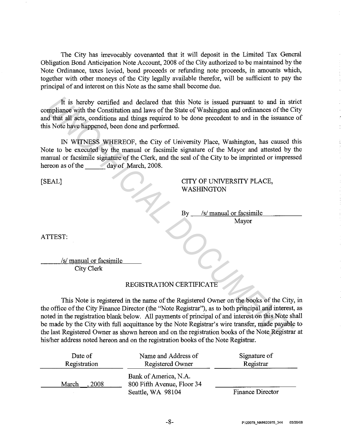The City has irrevocably covenanted that it will deposit in the Limited Tax General Obligation Bond Anticipation Note Account, 2008 of the City authorized to be maintained by the Note Ordinance, taxes levied, bond proceeds or refunding note proceeds, in amounts which, together with other moneys of the City legally available therefor, will be sufficient to pay the principal of and interest on this Note as the same shall become due.

It is hereby certified and declared that this Note is issued pursuant to and in strict compliance with the Constitution and laws of the State of Washington and ordinances of the City and that all acts, conditions and things required to be done precedent to and in the issuance of this Note have happened, been done and performed.

IN WITNESS WHEREOF, the City of University Place, Washington, has caused this Note to be executed by the manual or facsimile signature of the Mayor and attested by the manual or facsimile signature of the Clerk, and the seal of the City to be imprinted or impressed hereon as of the day of March, 2008.

[SEAL]

CITY OF UNIVERSITY PLACE, **WASHINGTON** 

By *Isl* manual or facsimile Mayor

ATTEST:

*Isl* manual or facsimile City Clerk

# REGISTRATION CERTIFICATE

This Note is registered in the name of the Registered Owner on the books of the City, in the office of the City Finance Director (the "Note Registrar"), as to both principal and interest, as noted in the registration blank below. All payments of principal of and interest on this Note shall be made by the City with full acquittance by the Note Registrar's wire transfer, made payable to the last Registered Owner as shown hereon and on the registration books of the Note Registrar at his/her address noted hereon and on the registration books of the Note Registrar. It is hereby certified and declared that this Note is issued pursuant to and in strophilance with the Constitution and laws of the State of Washington and ordinances of the C<br>
In did that all acts, conditions and things re

| Date of       | Name and Address of                                                      | Signature of            |
|---------------|--------------------------------------------------------------------------|-------------------------|
| Registration  | Registered Owner                                                         | Registrar               |
| 2008<br>March | Bank of America, N.A.<br>800 Fifth Avenue, Floor 34<br>Seattle, WA 98104 | <b>Finance Director</b> |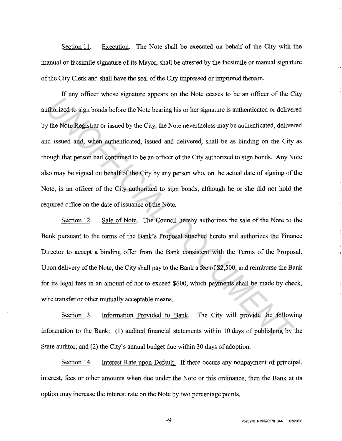Section 11. Execution. The Note shall be executed on behalf of the City with the manual or facsimile signature of its Mayor, shall be attested by the facsimile or manual signature of the City Clerk and shall have the seal of the City impressed or imprinted thereon.

If any officer whose signature appears on the Note ceases to be an officer of the City authorized to sign bonds before the Note bearing his or her signature is authenticated or delivered by the Note Registrar or issued by the City, the Note nevertheless may be authenticated, delivered and issued and, when authenticated, issued and delivered, shall be as binding on the City as though that person had continued to be an officer of the City authorized to sign bonds. Any Note also may be signed on behalf of the City by any person who, on the actual date of signing of the Note, is an officer of the City authorized to sign bonds, although he or she did not hold the required office on the date of issuance of the Note. *United stribes in the Set also algo the City,* the Note bearing this or the set allows the Set althorized to sign bonds before the Note bearing his or her signature is authenticated or deliver the Note Registrar or issued

Section 12. Sale of Note. The Council hereby authorizes the sale of the Note to the Bank pursuant to the terms of the Bank's Proposal attached hereto and authorizes the Finance Director to accept a binding offer from the Bank consistent with the Terms of the Proposal. Upon delivery of the Note, the City shall pay to the Bank a fee of \$2,500, and reimburse the Bank for its legal fees in an amount of not to exceed \$600, which payments shall be made by check, wire transfer or other mutually acceptable means.

Section 13. Information Provided to Bank. The City will provide the following information to the Bank: (1) audited financial statements within 10 days of publishing by the State auditor; and (2) the City's annual budget due within 30 days of adoption.

Section 14. Interest Rate upon Default. If there occurs any nonpayment of principal, interest, fees or other amounts when due under the Note or this ordinance, then the Bank at its option may increase the interest rate on the Note by two percentage points.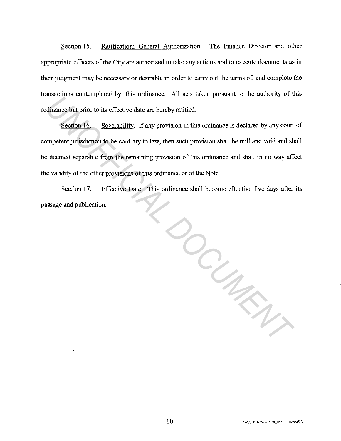Section 15. Ratification; General Authorization. The Finance Director and other appropriate officers of the City are authorized to take any actions and to execute documents as in their judgment may be necessary or desirable in order to carry out the terms of, and complete the transactions contemplated by, this ordinance. All acts taken pursuant to the authority of this ordinance but prior to its effective date are hereby ratified.

Section 16. Severability. If any provision in this ordinance is declared by any court of competent jurisdiction to be contrary to law, then such provision shall be null and void and shall be deemed separable from the remaining provision of this ordinance and shall in no way affect the validity of the other provisions of this ordinance or of the Note.

Section 17. Effective Date. This ordinance shall become effective five days after its passage and publication.

*UNOFFICIAL DOCUMENT*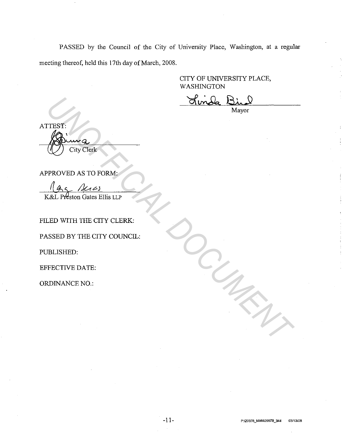PASSED by the Council of the City of University Place, Washington, at a regular meeting thereof, held this 17th day of March, 2008.

> CITY OF UNNERSITY PLACE, WASHINGTON

Mayor

WELLEST:<br>
THEST:<br>
PROVED AS TO FORM:<br>
THE CITY CLEAR DOCUMENT CLEAR CONTINUES ON THE CITY CLEAR.<br>
ULED WITH THE CITY COUNCIL:<br>
THE CITY COUNCIL:<br>
THE CITY COUNCIL:<br>
THE CITY COUNCIL:<br>
THE CITY COUNCIL:<br>
BUSHED:<br>
RED BY THE

APPROVED AS TO FORM:

FILED WITH THE CITY CLERK:

PASSED BY THE CITY COUNCIL:

PUBLISHED:

EFFECTNE DATE:

ORDINANCE NO.: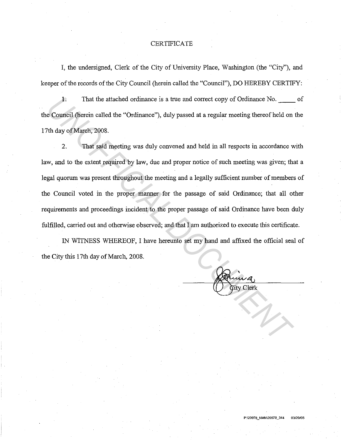### **CERTIFICATE**

I, the undersigned, Clerk of the City of University Place, Washington (the "City''), and keeper of the records of the City Council (herein called the "Council"), DO HEREBY CERTIFY:

1. That the attached ordinance is a true and correct copy of Ordinance No.  $\qquad \qquad$  of the Council (herein called the "Ordinance"), duly passed at a regular meeting thereof held on the 17th day of March, 2008.

2. That said meeting was duly convened and held in all respects in accordance with law, and to the extent required by law, due and proper notice of such meeting was given; that a legal quorum was present throughout the meeting and a legally sufficient number of members of the Council voted in the proper manner for the passage of said Ordinance; that all other requirements and proceedings incident to the proper passage of said Ordinance have been duly fulfilled, carried out and otherwise observed; and that I am authorized to execute this certificate. **ISONAL DEATER IS A THEORY OF THE CONDUCT AND MANUSE COUNCIL CONDUCT AND AN OF MANUSION CONDUCT THAT SAFE ONE CONDUCT AND AN OF MANUSION CONDUCT THAT SAFE ONE ONE CONDUCT AND WORK OF MANUSION CONDUCT AND MANUSION OF SUCH A** 

IN WITNESS WHEREOF, I have hereunto set my hand and affixed the official seal of the City this 17th day of March, 2008.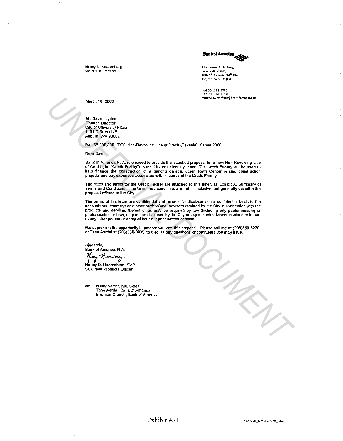

Nancy D. Nuerenberg Senior Vice President

Government Banking WA1-501-34-03<br>800 5<sup>th</sup> Avenue, 34<sup>th</sup> Floor Seattle, WA 98104

Tel 206.358.6279 Fax 206 .358.881 a nancy.d.nuerenberg@bankofamerica.com

March 10, 2008

Mr. Dave Layden Finance Director City of University Place 1101 D Street NE Aubum, WA 98002

Re: \$5,000,000 LTGO Non-Revolving Line of Credit (Taxable), Series 2008

Dear Dave:

Bank of America N. A. is pleased to provide the attached proposal for a new Non-Revolving Line<br>of Credit (the "Credit Facility") to the City of University Place. The Credit Facility will be used to<br>help finance the constru

The rates and terms for the Credit Facility are attached to this letter, as Exhibit A, Summary of Terms and Conditions. The terms and conditions are not all-inclusive, but generally describe the proposal offered to the City.

The terms of this letter are confidential and, except for disclosure on a confidential basis to the accountants, attomeys and other professional advisors retained by the City in connection with the products and services therein or as may be required by law (including any public meeting or public disclosure law), may not be disclosed by the City or any of such advisers in whole or in part to any other person or entity without our prior written consent.

We appreciate the opportunity to present you with this proposal. Please call me at (206)358-6279, or Tana Aardal at (206)358-8935, to discuss any questions or comments you may have.

Sincerely, Bank of America, N .A. Newcy Nueventrez

Nancy D. Nuerenberg, SVP Sr. Credit Products Officer

cc: Nancy Neraas, K&l Gales Tana Aardal, Bank of America Brennan Church, Bank of America *UNOFFICIAL DOCUMENT*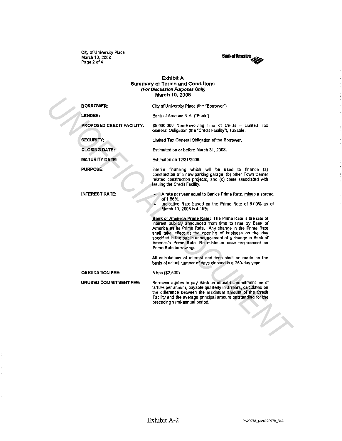City of University Place March 10, 2008 Page 2 of4



### Exhibit A Summary of Terms and Conditions (For Discussion Purposes Only) March 10, 2008

|  |                                  | 11101 VII 1 V, LVV                                                                                                                                                                                                                                                                                                                                                                           |
|--|----------------------------------|----------------------------------------------------------------------------------------------------------------------------------------------------------------------------------------------------------------------------------------------------------------------------------------------------------------------------------------------------------------------------------------------|
|  | <b>BORROWER:</b>                 | City of University Place (the "Borrower")                                                                                                                                                                                                                                                                                                                                                    |
|  | LENDER:                          | Bank of America N.A. ("Bank")                                                                                                                                                                                                                                                                                                                                                                |
|  | <b>PROPOSED CREDIT FACILITY:</b> | \$5,000,000 Non-Revolving Line of Credit - Limited Tax<br>General Obligation (the "Credit Facility"), Taxable.                                                                                                                                                                                                                                                                               |
|  | <b>SECURITY:</b>                 | Limited Tax General Obligation of the Borrower.                                                                                                                                                                                                                                                                                                                                              |
|  | <b>CLOSING DATE:</b>             | Estimated on or before March 31, 2008.                                                                                                                                                                                                                                                                                                                                                       |
|  | <b>MATURITY DATE:</b>            | Estimated on 12/31/2009.                                                                                                                                                                                                                                                                                                                                                                     |
|  | <b>PURPOSE:</b>                  | Interim financing which will be used to finance (a)<br>construction of a new parking garage, (b) other Town Center<br>related construction projects, and (c) costs associated with<br>issuing the Credit Facility.                                                                                                                                                                           |
|  | <b>INTEREST RATE:</b>            | A rate per year equal to Bank's Prime Rate, minus a spread<br>of 1.85%.<br>Indicative Rate based on the Prime Rate of 6.00% as of<br>March 10, 2008 is 4.15%.                                                                                                                                                                                                                                |
|  |                                  | Bank of America Prime Rate: The Prime Rate is the rate of<br>interest publicly announced from time to time by Bank of<br>America as its Prime Rate. Any change in the Prime Rate<br>shall take effect at the opening of business on the day<br>specified in the public announcement of a change in Bank of<br>America's Prime Rate. No minimum draw requirement on<br>Prime Rate borrowings. |
|  |                                  | All calculations of interest and fees shall be made on the<br>basis of actual number of days elapsed in a 360-day year.                                                                                                                                                                                                                                                                      |
|  | <b>ORIGINATION FEE:</b>          | 5 bps (\$2,500)                                                                                                                                                                                                                                                                                                                                                                              |
|  | UNUSED COMMITMENT FEE:           | Borrower agrees to pay Bank an unused commitment fee of<br>0.10% per annum, payable quarterly in arrears, calculated on<br>the difference between the maximum amount of the Credit<br>Facility and the average principal amount outstanding for the<br>preceding semi-annual period.                                                                                                         |
|  |                                  |                                                                                                                                                                                                                                                                                                                                                                                              |

 $\sim$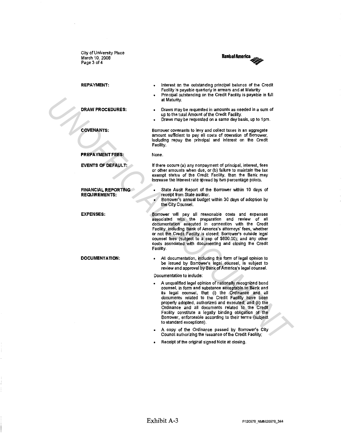City of University Place March 10, 2008 Page 3 of 4



REPAYMENT:

DRAW PROCEDURES:

COVENANTS:

PREPAYMENT FEES:

EVENTS OF DEFAULT:

FINANCIAL REPORTING REQUIREMENTS:

EXPENSES:

DOCUMENTATION:

Interest on the outstanding principal balance of the Credit Facility is payable quarterly in arrears and at Maturity

- Principal outstanding on the Credit Facility is payable in full at Maturity.
- Draws may be requested in amounts as needed in a sum of up to the total Amount of the Credit Facility.
- Draws may be requested on a same day basis, up to 1 pm.

Borrower covenants to levy and collect taxes in an aggregate amount sufficient to pay all costs of operation of Borrower, including repay the principal and interest on the Credit Facility.

None.

lf there occurs (a) any nonpayment of principal, interest, fees or other amounts when due, or (b) failure to maintain the tax exempt status of the Credit Facility, then the Bank may increase the interest rate spread by two percentage points.

- State Audit Report of the Borrower within 10 days of receipt from State auditor.
- Borrower's annual budget within 30 days of adoption by the City Counsel.

Borrower will pay all reasonable costs and expenses associated with the preparation and review of all documentation executed in connection with the Credit Facility, including Bank of America's attorneys' fees, whether or not the Credit Facility is closed; Borrower's outside legal counsel fees (subject to a cap of \$600.00); and any other costs associated with documenting and closing the Credit Facility.

All documentation, including the form of legal opinion to be issued by Borrower's legal counsel, is subject to review and approval by Bank of America's legal counsel.

Documentation to include:

- A unqualffied legal opinion of nationally recognized bond counsel, in form and substance acceptable to Bank and its legal counsel, that (i) the Ordinance and all documents related to the Credit Facility have been property adopted, authorized and executed; and Qi) the Ordinance and all documents related to the Credit Facility constitute a legally binding obligation of the Borrower, enforceable according to their terms (subject to standard exceptions). **UNAW PROCEDURES:**<br> **UNAW PROCEDURES:**<br> **UNAW PROCEDURES:**<br> **UNAW PROCEDURES:**<br> **UNAW PROCEDURES:**<br> **UNAW PROCEDURES:**<br> **UNAW PROCEDURES:**<br> **UNAW PROCESSION CONTINUATION:**<br> **UNAW PROCESSION CONTINUATION:**<br> **UNAW PROCESSION** 
	- A copy of the Ordinance passed by Borrower's City Council authorizing the issuance of the Credit Facility;
	- Receipt of the original signed Note at closing.